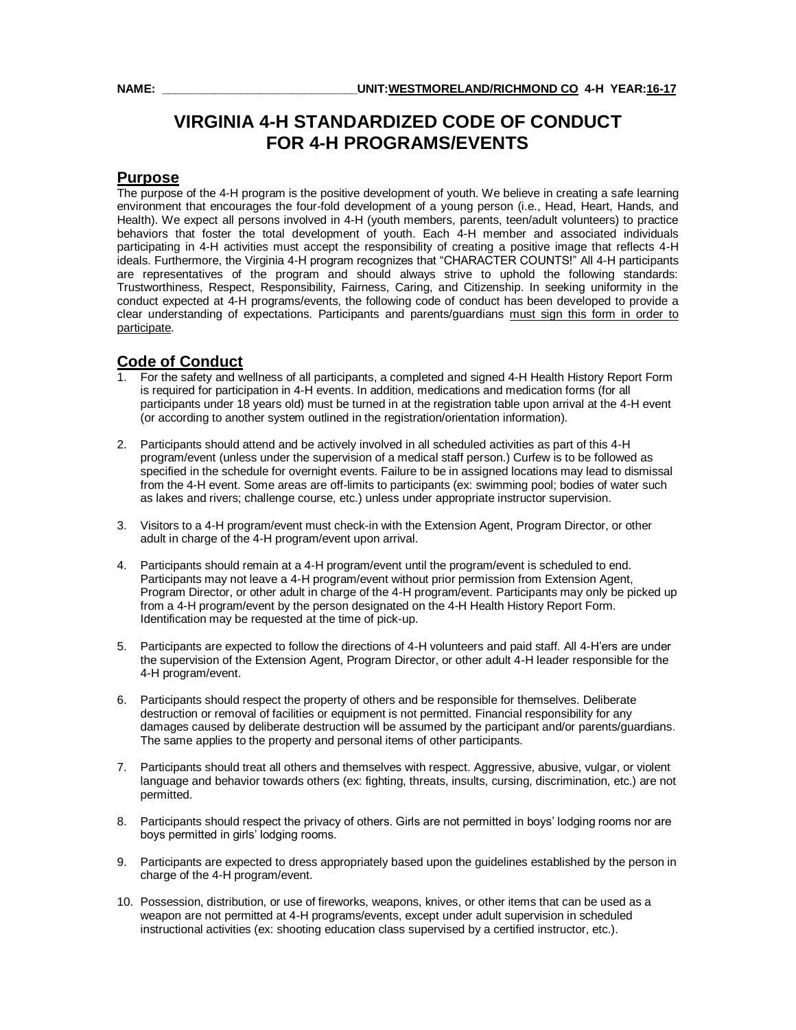# **VIRGINIA 4-H STANDARDIZED CODE OF CONDUCT FOR 4-H PROGRAMS/EVENTS**

#### **Purpose**

The purpose of the 4-H program is the positive development of youth. We believe in creating a safe learning environment that encourages the four-fold development of a young person (i.e., Head, Heart, Hands, and Health). We expect all persons involved in 4-H (youth members, parents, teen/adult volunteers) to practice behaviors that foster the total development of youth. Each 4-H member and associated individuals participating in 4-H activities must accept the responsibility of creating a positive image that reflects 4-H ideals. Furthermore, the Virginia 4-H program recognizes that "CHARACTER COUNTS!" All 4-H participants are representatives of the program and should always strive to uphold the following standards: Trustworthiness, Respect, Responsibility, Fairness, Caring, and Citizenship. In seeking uniformity in the conduct expected at 4-H programs/events, the following code of conduct has been developed to provide a clear understanding of expectations. Participants and parents/guardians must sign this form in order to participate.

#### **Code of Conduct**

- 1. For the safety and wellness of all participants, a completed and signed 4-H Health History Report Form is required for participation in 4-H events. In addition, medications and medication forms (for all participants under 18 years old) must be turned in at the registration table upon arrival at the 4-H event (or according to another system outlined in the registration/orientation information).
- 2. Participants should attend and be actively involved in all scheduled activities as part of this 4-H program/event (unless under the supervision of a medical staff person.) Curfew is to be followed as specified in the schedule for overnight events. Failure to be in assigned locations may lead to dismissal from the 4-H event. Some areas are off-limits to participants (ex: swimming pool; bodies of water such as lakes and rivers; challenge course, etc.) unless under appropriate instructor supervision.
- 3. Visitors to a 4-H program/event must check-in with the Extension Agent, Program Director, or other adult in charge of the 4-H program/event upon arrival.
- 4. Participants should remain at a 4-H program/event until the program/event is scheduled to end. Participants may not leave a 4-H program/event without prior permission from Extension Agent, Program Director, or other adult in charge of the 4-H program/event. Participants may only be picked up from a 4-H program/event by the person designated on the 4-H Health History Report Form. Identification may be requested at the time of pick-up.
- 5. Participants are expected to follow the directions of 4-H volunteers and paid staff. All 4-H'ers are under the supervision of the Extension Agent, Program Director, or other adult 4-H leader responsible for the 4-H program/event.
- 6. Participants should respect the property of others and be responsible for themselves. Deliberate destruction or removal of facilities or equipment is not permitted. Financial responsibility for any damages caused by deliberate destruction will be assumed by the participant and/or parents/guardians. The same applies to the property and personal items of other participants.
- 7. Participants should treat all others and themselves with respect. Aggressive, abusive, vulgar, or violent language and behavior towards others (ex: fighting, threats, insults, cursing, discrimination, etc.) are not permitted.
- 8. Participants should respect the privacy of others. Girls are not permitted in boys' lodging rooms nor are boys permitted in girls' lodging rooms.
- 9. Participants are expected to dress appropriately based upon the guidelines established by the person in charge of the 4-H program/event.
- 10. Possession, distribution, or use of fireworks, weapons, knives, or other items that can be used as a weapon are not permitted at 4-H programs/events, except under adult supervision in scheduled instructional activities (ex: shooting education class supervised by a certified instructor, etc.).